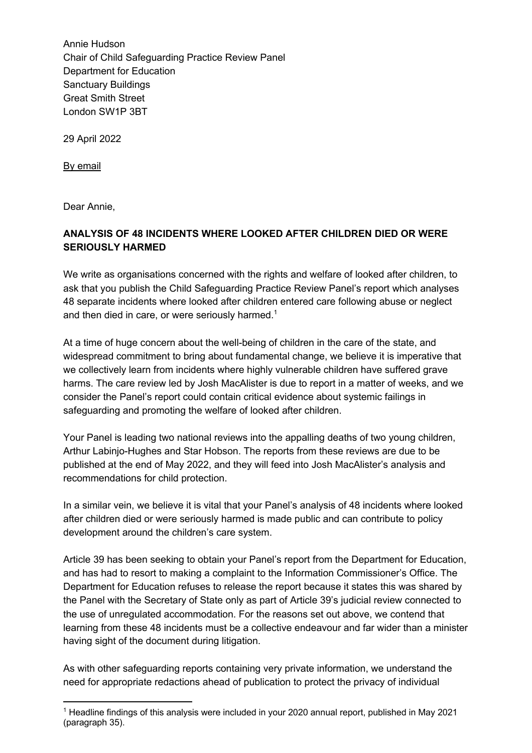Annie Hudson Chair of Child Safeguarding Practice Review Panel Department for Education Sanctuary Buildings Great Smith Street London SW1P 3BT

29 April 2022

By email

Dear Annie,

## **ANALYSIS OF 48 INCIDENTS WHERE LOOKED AFTER CHILDREN DIED OR WERE SERIOUSLY HARMED**

We write as organisations concerned with the rights and welfare of looked after children, to ask that you publish the Child Safeguarding Practice Review Panel's report which analyses 48 separate incidents where looked after children entered care following abuse or neglect and then died in care, or were seriously harmed.<sup>1</sup>

At a time of huge concern about the well-being of children in the care of the state, and widespread commitment to bring about fundamental change, we believe it is imperative that we collectively learn from incidents where highly vulnerable children have suffered grave harms. The care review led by Josh MacAlister is due to report in a matter of weeks, and we consider the Panel's report could contain critical evidence about systemic failings in safeguarding and promoting the welfare of looked after children.

Your Panel is leading two national reviews into the appalling deaths of two young children, Arthur Labinjo-Hughes and Star Hobson. The reports from these reviews are due to be published at the end of May 2022, and they will feed into Josh MacAlister's analysis and recommendations for child protection.

In a similar vein, we believe it is vital that your Panel's analysis of 48 incidents where looked after children died or were seriously harmed is made public and can contribute to policy development around the children's care system.

Article 39 has been seeking to obtain your Panel's report from the Department for Education, and has had to resort to making a complaint to the Information Commissioner's Office. The Department for Education refuses to release the report because it states this was shared by the Panel with the Secretary of State only as part of Article 39's judicial review connected to the use of unregulated accommodation. For the reasons set out above, we contend that learning from these 48 incidents must be a collective endeavour and far wider than a minister having sight of the document during litigation.

As with other safeguarding reports containing very private information, we understand the need for appropriate redactions ahead of publication to protect the privacy of individual

<sup>1</sup> Headline findings of this analysis were included in your 2020 annual report, published in May 2021 (paragraph 35).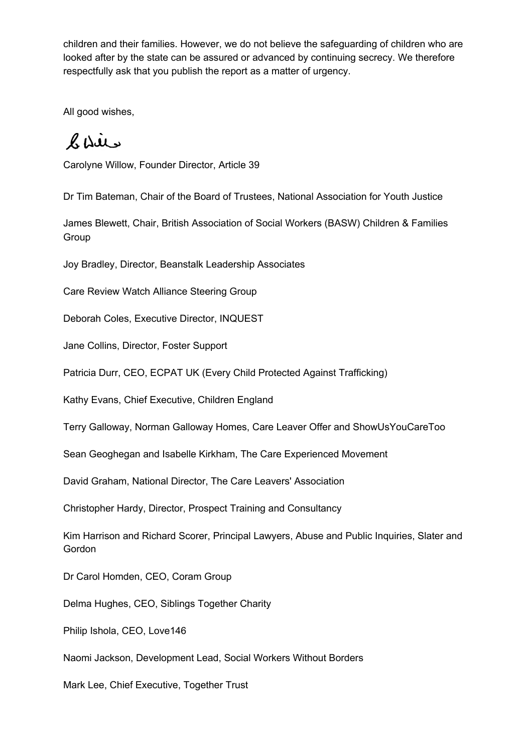children and their families. However, we do not believe the safeguarding of children who are looked after by the state can be assured or advanced by continuing secrecy. We therefore respectfully ask that you publish the report as a matter of urgency.

All good wishes,

BDie

Carolyne Willow, Founder Director, Article 39

Dr Tim Bateman, Chair of the Board of Trustees, National Association for Youth Justice

James Blewett, Chair, British Association of Social Workers (BASW) Children & Families Group

Joy Bradley, Director, Beanstalk Leadership Associates

Care Review Watch Alliance Steering Group

Deborah Coles, Executive Director, INQUEST

Jane Collins, Director, Foster Support

Patricia Durr, CEO, ECPAT UK (Every Child Protected Against Trafficking)

Kathy Evans, Chief Executive, Children England

Terry Galloway, Norman Galloway Homes, Care Leaver Offer and ShowUsYouCareToo

Sean Geoghegan and Isabelle Kirkham, The Care Experienced Movement

David Graham, National Director, The Care Leavers' Association

Christopher Hardy, Director, Prospect Training and Consultancy

Kim Harrison and Richard Scorer, Principal Lawyers, Abuse and Public Inquiries, Slater and **Gordon** 

Dr Carol Homden, CEO, Coram Group

Delma Hughes, CEO, Siblings Together Charity

Philip Ishola, CEO, Love146

Naomi Jackson, Development Lead, Social Workers Without Borders

Mark Lee, Chief Executive, Together Trust